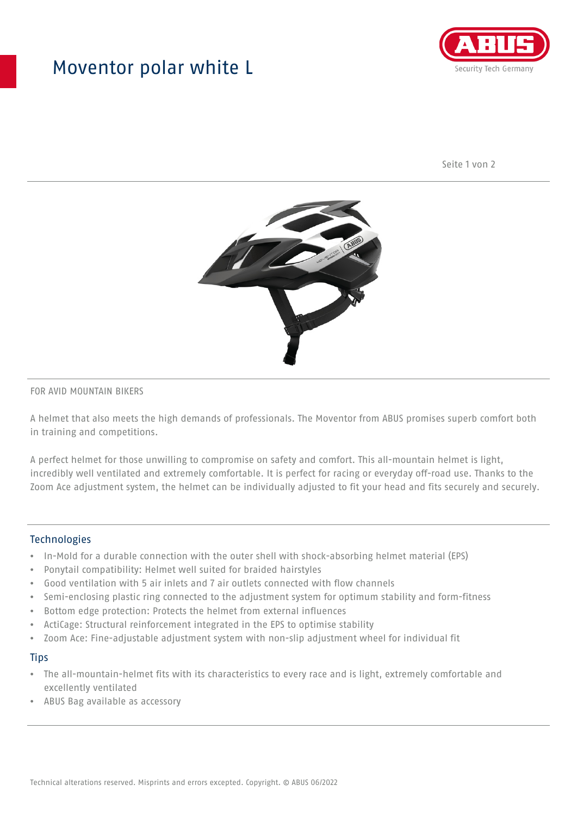## Moventor polar white L



Seite 1 von 2



#### FOR AVID MOUNTAIN BIKERS

A helmet that also meets the high demands of professionals. The Moventor from ABUS promises superb comfort both in training and competitions.

A perfect helmet for those unwilling to compromise on safety and comfort. This all-mountain helmet is light, incredibly well ventilated and extremely comfortable. It is perfect for racing or everyday off-road use. Thanks to the Zoom Ace adjustment system, the helmet can be individually adjusted to fit your head and fits securely and securely.

#### **Technologies**

- In-Mold for a durable connection with the outer shell with shock-absorbing helmet material (EPS)
- Ponytail compatibility: Helmet well suited for braided hairstyles
- Good ventilation with 5 air inlets and 7 air outlets connected with flow channels
- Semi-enclosing plastic ring connected to the adjustment system for optimum stability and form-fitness
- Bottom edge protection: Protects the helmet from external influences
- ActiCage: Structural reinforcement integrated in the EPS to optimise stability
- Zoom Ace: Fine-adjustable adjustment system with non-slip adjustment wheel for individual fit

#### **Tips**

- The all-mountain-helmet fits with its characteristics to every race and is light, extremely comfortable and excellently ventilated
- ABUS Bag available as accessory